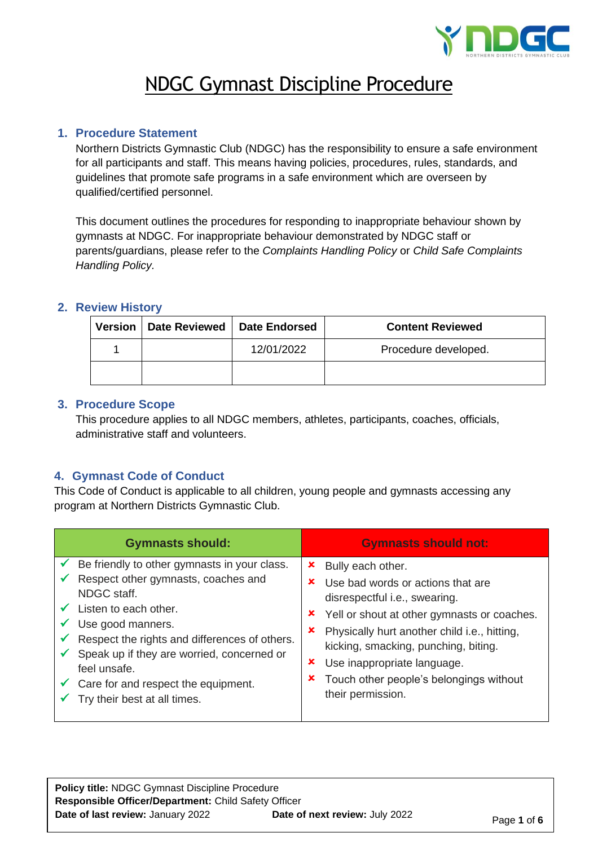

## NDGC Gymnast Discipline Procedure

#### **1. Procedure Statement**

Northern Districts Gymnastic Club (NDGC) has the responsibility to ensure a safe environment for all participants and staff. This means having policies, procedures, rules, standards, and guidelines that promote safe programs in a safe environment which are overseen by qualified/certified personnel.

This document outlines the procedures for responding to inappropriate behaviour shown by gymnasts at NDGC. For inappropriate behaviour demonstrated by NDGC staff or parents/guardians, please refer to the *Complaints Handling Policy* or *Child Safe Complaints Handling Policy.*

#### **2. Review History**

| Version | Date Reviewed   Date Endorsed |            | <b>Content Reviewed</b> |
|---------|-------------------------------|------------|-------------------------|
|         |                               | 12/01/2022 | Procedure developed.    |
|         |                               |            |                         |

#### **3. Procedure Scope**

This procedure applies to all NDGC members, athletes, participants, coaches, officials, administrative staff and volunteers.

#### **4. Gymnast Code of Conduct**

This Code of Conduct is applicable to all children, young people and gymnasts accessing any program at Northern Districts Gymnastic Club.

| <b>Gymnasts should:</b>                                                                                                                                                                                                                                                                                                                             | <b>Gymnasts should not:</b>                                                                                                                                                                                                                                                                                                                       |
|-----------------------------------------------------------------------------------------------------------------------------------------------------------------------------------------------------------------------------------------------------------------------------------------------------------------------------------------------------|---------------------------------------------------------------------------------------------------------------------------------------------------------------------------------------------------------------------------------------------------------------------------------------------------------------------------------------------------|
| Be friendly to other gymnasts in your class.<br>Respect other gymnasts, coaches and<br>NDGC staff.<br>Listen to each other.<br>Use good manners.<br>Respect the rights and differences of others.<br>Speak up if they are worried, concerned or<br>feel unsafe.<br>$\checkmark$ Care for and respect the equipment.<br>Try their best at all times. | Bully each other.<br>×<br>Use bad words or actions that are<br>×<br>disrespectful i.e., swearing.<br>Yell or shout at other gymnasts or coaches.<br>×<br>Physically hurt another child i.e., hitting,<br>×<br>kicking, smacking, punching, biting.<br>Use inappropriate language.<br>Touch other people's belongings without<br>their permission. |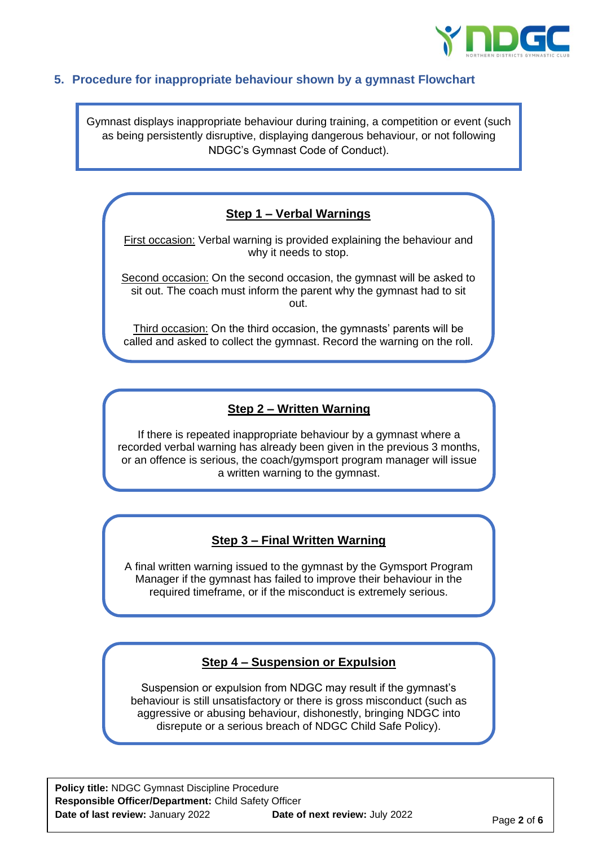

#### **5. Procedure for inappropriate behaviour shown by a gymnast Flowchart**

Gymnast displays inappropriate behaviour during training, a competition or event (such as being persistently disruptive, displaying dangerous behaviour, or not following NDGC's Gymnast Code of Conduct).

#### **Step 1 – Verbal Warnings**

First occasion: Verbal warning is provided explaining the behaviour and why it needs to stop.

Second occasion: On the second occasion, the gymnast will be asked to sit out. The coach must inform the parent why the gymnast had to sit out.

Third occasion: On the third occasion, the gymnasts' parents will be called and asked to collect the gymnast. Record the warning on the roll.

#### **Step 2 – Written Warning**

If there is repeated inappropriate behaviour by a gymnast where a recorded verbal warning has already been given in the previous 3 months, or an offence is serious, the coach/gymsport program manager will issue a written warning to the gymnast.

#### **Step 3 – Final Written Warning**

A final written warning issued to the gymnast by the Gymsport Program Manager if the gymnast has failed to improve their behaviour in the required timeframe, or if the misconduct is extremely serious.

#### **Step 4 – Suspension or Expulsion**

Suspension or expulsion from NDGC may result if the gymnast's behaviour is still unsatisfactory or there is gross misconduct (such as aggressive or abusing behaviour, dishonestly, bringing NDGC into disrepute or a serious breach of NDGC Child Safe Policy).

**Policy title:** NDGC Gymnast Discipline Procedure **Responsible Officer/Department:** Child Safety Officer **Date of last review:** January 2022 **Date of next review:** July 2022 **Page 2 of 6**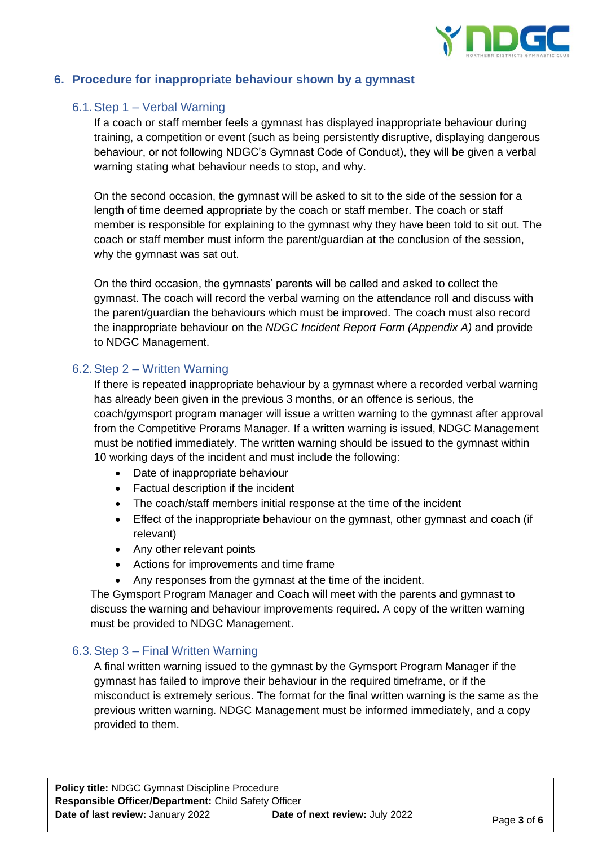

#### **6. Procedure for inappropriate behaviour shown by a gymnast**

#### 6.1.Step 1 – Verbal Warning

If a coach or staff member feels a gymnast has displayed inappropriate behaviour during training, a competition or event (such as being persistently disruptive, displaying dangerous behaviour, or not following NDGC's Gymnast Code of Conduct), they will be given a verbal warning stating what behaviour needs to stop, and why.

On the second occasion, the gymnast will be asked to sit to the side of the session for a length of time deemed appropriate by the coach or staff member. The coach or staff member is responsible for explaining to the gymnast why they have been told to sit out. The coach or staff member must inform the parent/guardian at the conclusion of the session, why the gymnast was sat out.

On the third occasion, the gymnasts' parents will be called and asked to collect the gymnast. The coach will record the verbal warning on the attendance roll and discuss with the parent/guardian the behaviours which must be improved. The coach must also record the inappropriate behaviour on the *NDGC Incident Report Form (Appendix A)* and provide to NDGC Management.

#### 6.2.Step 2 – Written Warning

If there is repeated inappropriate behaviour by a gymnast where a recorded verbal warning has already been given in the previous 3 months, or an offence is serious, the coach/gymsport program manager will issue a written warning to the gymnast after approval from the Competitive Prorams Manager. If a written warning is issued, NDGC Management must be notified immediately. The written warning should be issued to the gymnast within 10 working days of the incident and must include the following:

- Date of inappropriate behaviour
- Factual description if the incident
- The coach/staff members initial response at the time of the incident
- Effect of the inappropriate behaviour on the gymnast, other gymnast and coach (if relevant)
- Any other relevant points
- Actions for improvements and time frame
- Any responses from the gymnast at the time of the incident.

The Gymsport Program Manager and Coach will meet with the parents and gymnast to discuss the warning and behaviour improvements required. A copy of the written warning must be provided to NDGC Management.

#### 6.3.Step 3 – Final Written Warning

A final written warning issued to the gymnast by the Gymsport Program Manager if the gymnast has failed to improve their behaviour in the required timeframe, or if the misconduct is extremely serious. The format for the final written warning is the same as the previous written warning. NDGC Management must be informed immediately, and a copy provided to them.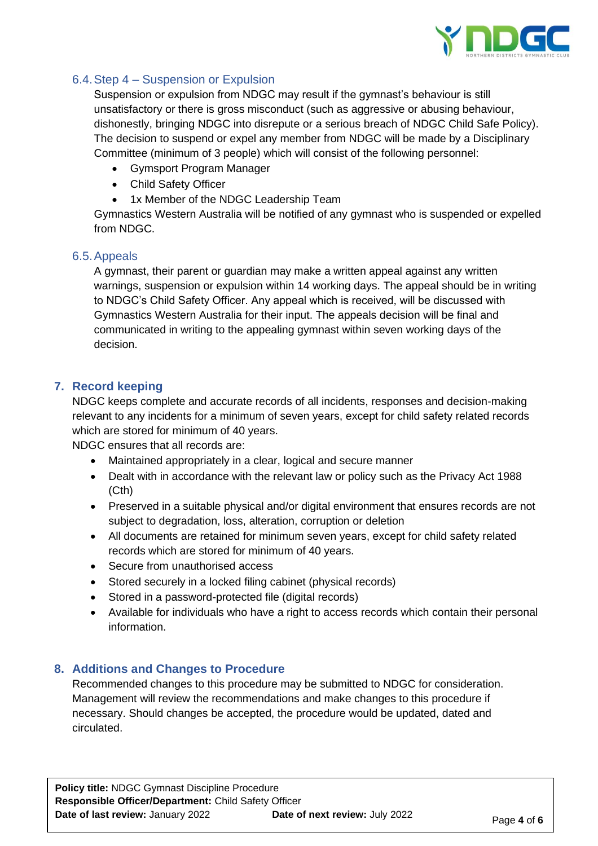

## 6.4.Step 4 – Suspension or Expulsion

Suspension or expulsion from NDGC may result if the gymnast's behaviour is still unsatisfactory or there is gross misconduct (such as aggressive or abusing behaviour, dishonestly, bringing NDGC into disrepute or a serious breach of NDGC Child Safe Policy). The decision to suspend or expel any member from NDGC will be made by a Disciplinary Committee (minimum of 3 people) which will consist of the following personnel:

- Gymsport Program Manager
- Child Safety Officer
- 1x Member of the NDGC Leadership Team

Gymnastics Western Australia will be notified of any gymnast who is suspended or expelled from NDGC.

#### 6.5.Appeals

A gymnast, their parent or guardian may make a written appeal against any written warnings, suspension or expulsion within 14 working days. The appeal should be in writing to NDGC's Child Safety Officer. Any appeal which is received, will be discussed with Gymnastics Western Australia for their input. The appeals decision will be final and communicated in writing to the appealing gymnast within seven working days of the decision.

#### **7. Record keeping**

NDGC keeps complete and accurate records of all incidents, responses and decision-making relevant to any incidents for a minimum of seven years, except for child safety related records which are stored for minimum of 40 years.

NDGC ensures that all records are:

- Maintained appropriately in a clear, logical and secure manner
- Dealt with in accordance with the relevant law or policy such as the Privacy Act 1988 (Cth)
- Preserved in a suitable physical and/or digital environment that ensures records are not subject to degradation, loss, alteration, corruption or deletion
- All documents are retained for minimum seven years, except for child safety related records which are stored for minimum of 40 years.
- Secure from unauthorised access
- Stored securely in a locked filing cabinet (physical records)
- Stored in a password-protected file (digital records)
- Available for individuals who have a right to access records which contain their personal information.

#### **8. Additions and Changes to Procedure**

Recommended changes to this procedure may be submitted to NDGC for consideration. Management will review the recommendations and make changes to this procedure if necessary. Should changes be accepted, the procedure would be updated, dated and circulated.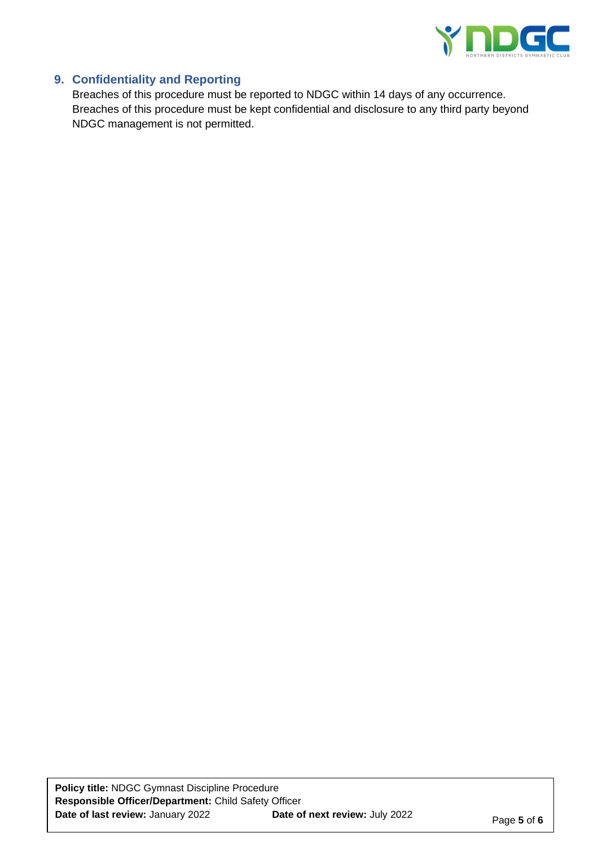

### **9. Confidentiality and Reporting**

Breaches of this procedure must be reported to NDGC within 14 days of any occurrence. Breaches of this procedure must be kept confidential and disclosure to any third party beyond NDGC management is not permitted.